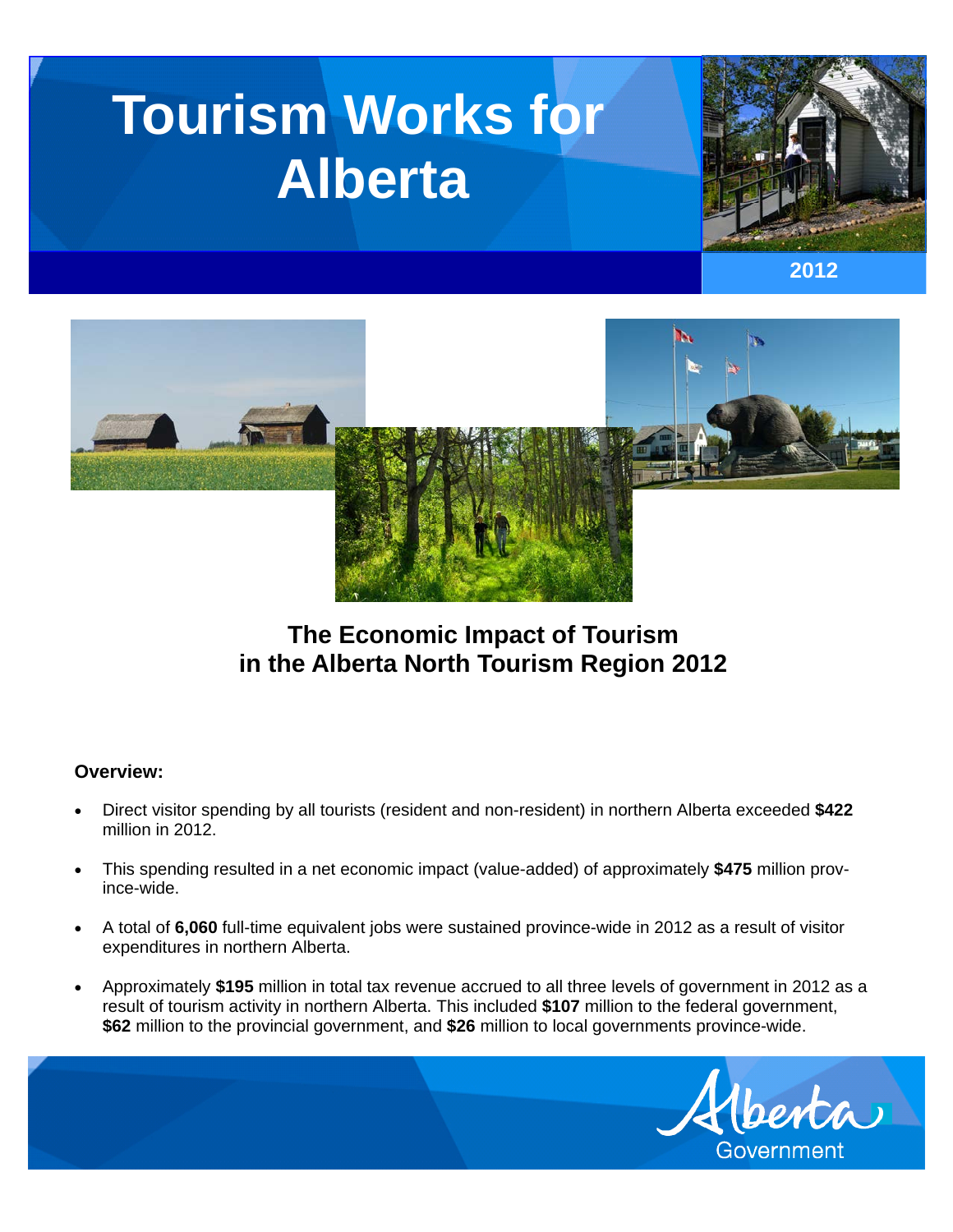# **Tourism Works for Alberta**







# **The Economic Impact of Tourism in the Alberta North Tourism Region 2012**

## **Overview:**

- Direct visitor spending by all tourists (resident and non-resident) in northern Alberta exceeded **\$422**  million in 2012.
- This spending resulted in a net economic impact (value-added) of approximately **\$475** million province-wide.
- A total of **6,060** full-time equivalent jobs were sustained province-wide in 2012 as a result of visitor expenditures in northern Alberta.
- Approximately **\$195** million in total tax revenue accrued to all three levels of government in 2012 as a result of tourism activity in northern Alberta. This included **\$107** million to the federal government, **\$62** million to the provincial government, and **\$26** million to local governments province-wide.

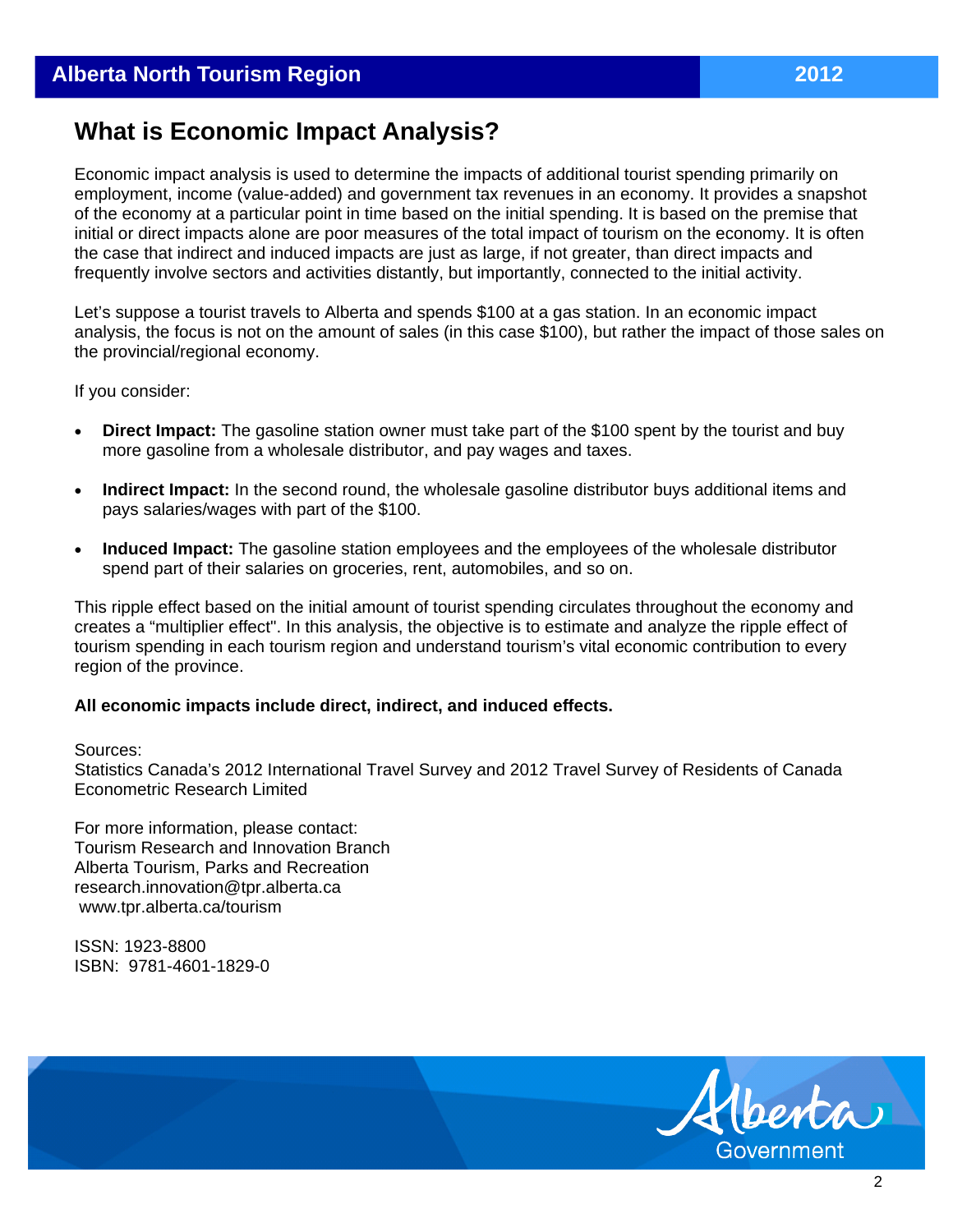# **What is Economic Impact Analysis?**

Economic impact analysis is used to determine the impacts of additional tourist spending primarily on employment, income (value-added) and government tax revenues in an economy. It provides a snapshot of the economy at a particular point in time based on the initial spending. It is based on the premise that initial or direct impacts alone are poor measures of the total impact of tourism on the economy. It is often the case that indirect and induced impacts are just as large, if not greater, than direct impacts and frequently involve sectors and activities distantly, but importantly, connected to the initial activity.

Let's suppose a tourist travels to Alberta and spends \$100 at a gas station. In an economic impact analysis, the focus is not on the amount of sales (in this case \$100), but rather the impact of those sales on the provincial/regional economy.

If you consider:

- **Direct Impact:** The gasoline station owner must take part of the \$100 spent by the tourist and buy more gasoline from a wholesale distributor, and pay wages and taxes.
- **Indirect Impact:** In the second round, the wholesale gasoline distributor buys additional items and pays salaries/wages with part of the \$100.
- **Induced Impact:** The gasoline station employees and the employees of the wholesale distributor spend part of their salaries on groceries, rent, automobiles, and so on.

This ripple effect based on the initial amount of tourist spending circulates throughout the economy and creates a "multiplier effect". In this analysis, the objective is to estimate and analyze the ripple effect of tourism spending in each tourism region and understand tourism's vital economic contribution to every region of the province.

#### **All economic impacts include direct, indirect, and induced effects.**

Sources:

Statistics Canada's 2012 International Travel Survey and 2012 Travel Survey of Residents of Canada Econometric Research Limited

For more information, please contact: Tourism Research and Innovation Branch Alberta Tourism, Parks and Recreation research.innovation@tpr.alberta.ca www.tpr.alberta.ca/tourism

ISSN: 1923-8800 ISBN: 9781-4601-1829-0

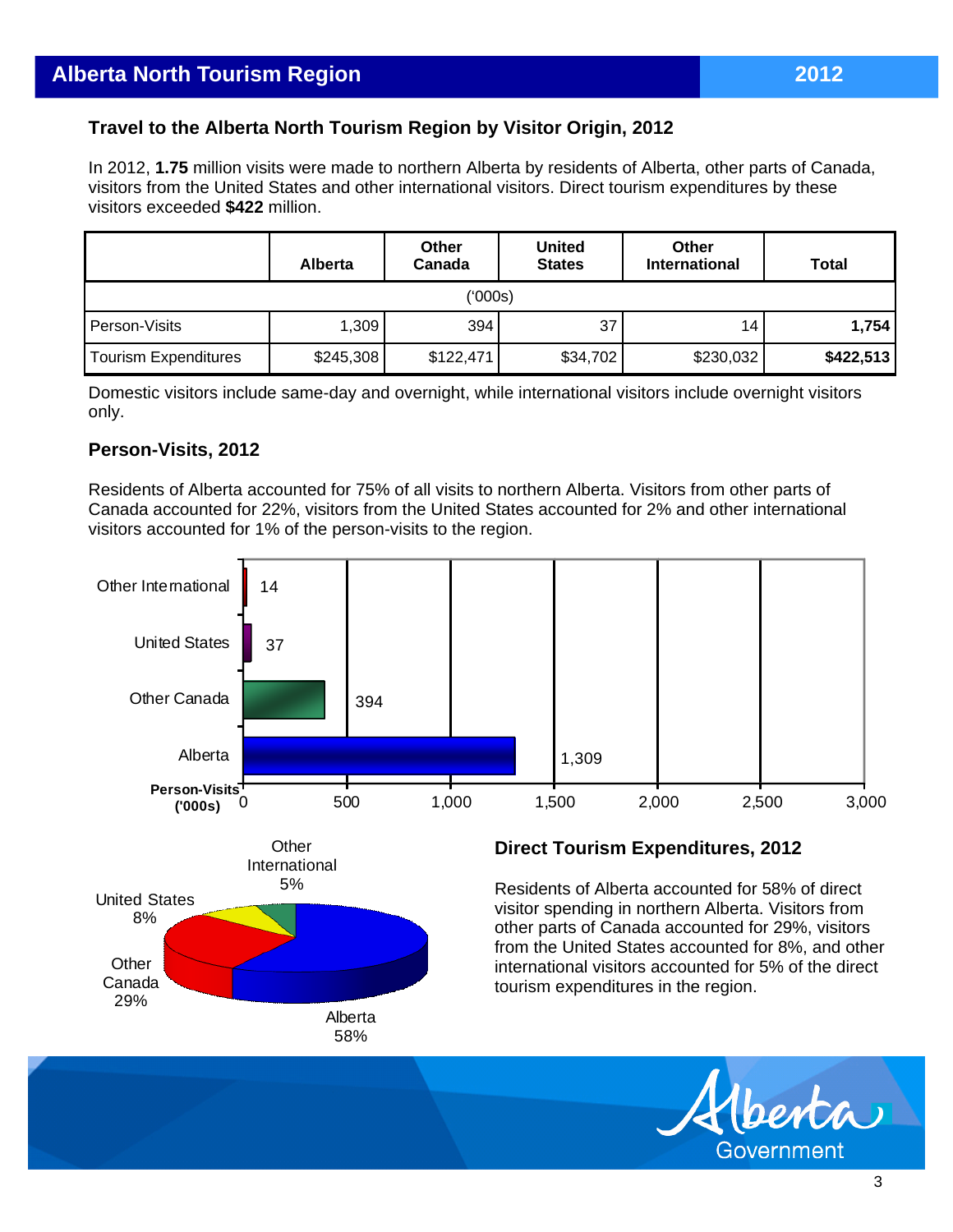# **Travel to the Alberta North Tourism Region by Visitor Origin, 2012**

In 2012, **1.75** million visits were made to northern Alberta by residents of Alberta, other parts of Canada, visitors from the United States and other international visitors. Direct tourism expenditures by these visitors exceeded **\$422** million.

|                      | <b>Alberta</b> | <b>Other</b><br>Canada | <b>United</b><br><b>States</b> | <b>Other</b><br><b>International</b> | <b>Total</b> |  |  |  |  |
|----------------------|----------------|------------------------|--------------------------------|--------------------------------------|--------------|--|--|--|--|
| ('000s)              |                |                        |                                |                                      |              |  |  |  |  |
| Person-Visits        | 1,309          | 394                    | 37                             | 14                                   | 1,754        |  |  |  |  |
| Tourism Expenditures | \$245,308      | \$122,471              | \$34,702                       | \$230,032                            | \$422,513    |  |  |  |  |

Domestic visitors include same-day and overnight, while international visitors include overnight visitors only.

### **Person-Visits, 2012**

Residents of Alberta accounted for 75% of all visits to northern Alberta. Visitors from other parts of Canada accounted for 22%, visitors from the United States accounted for 2% and other international visitors accounted for 1% of the person-visits to the region.



Government